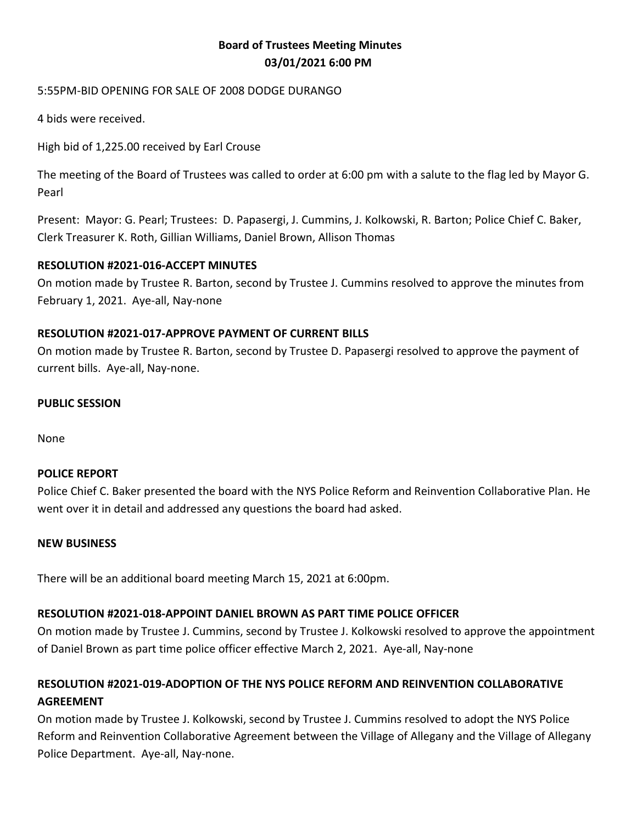# **Board of Trustees Meeting Minutes 03/01/2021 6:00 PM**

## 5:55PM-BID OPENING FOR SALE OF 2008 DODGE DURANGO

4 bids were received.

High bid of 1,225.00 received by Earl Crouse

The meeting of the Board of Trustees was called to order at 6:00 pm with a salute to the flag led by Mayor G. Pearl

Present: Mayor: G. Pearl; Trustees: D. Papasergi, J. Cummins, J. Kolkowski, R. Barton; Police Chief C. Baker, Clerk Treasurer K. Roth, Gillian Williams, Daniel Brown, Allison Thomas

#### **RESOLUTION #2021-016-ACCEPT MINUTES**

On motion made by Trustee R. Barton, second by Trustee J. Cummins resolved to approve the minutes from February 1, 2021. Aye-all, Nay-none

## **RESOLUTION #2021-017-APPROVE PAYMENT OF CURRENT BILLS**

On motion made by Trustee R. Barton, second by Trustee D. Papasergi resolved to approve the payment of current bills. Aye-all, Nay-none.

#### **PUBLIC SESSION**

None

#### **POLICE REPORT**

Police Chief C. Baker presented the board with the NYS Police Reform and Reinvention Collaborative Plan. He went over it in detail and addressed any questions the board had asked.

#### **NEW BUSINESS**

There will be an additional board meeting March 15, 2021 at 6:00pm.

## **RESOLUTION #2021-018-APPOINT DANIEL BROWN AS PART TIME POLICE OFFICER**

On motion made by Trustee J. Cummins, second by Trustee J. Kolkowski resolved to approve the appointment of Daniel Brown as part time police officer effective March 2, 2021. Aye-all, Nay-none

# **RESOLUTION #2021-019-ADOPTION OF THE NYS POLICE REFORM AND REINVENTION COLLABORATIVE AGREEMENT**

On motion made by Trustee J. Kolkowski, second by Trustee J. Cummins resolved to adopt the NYS Police Reform and Reinvention Collaborative Agreement between the Village of Allegany and the Village of Allegany Police Department. Aye-all, Nay-none.